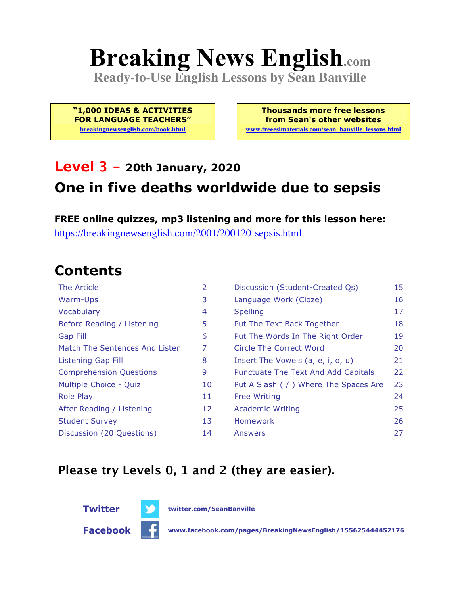# **Breaking News English.com**

**Ready-to-Use English Lessons by Sean Banville**

**"1,000 IDEAS & ACTIVITIES FOR LANGUAGE TEACHERS"**

**breakingnewsenglish.com/book.html**

**Thousands more free lessons from Sean's other websites www.freeeslmaterials.com/sean\_banville\_lessons.html**

### **Level 3 - 20th January, 2020 One in five deaths worldwide due to sepsis**

**FREE online quizzes, mp3 listening and more for this lesson here:** https://breakingnewsenglish.com/2001/200120-sepsis.html

### **Contents**

| The Article                    | 2  | Discussion (Student-Created Qs)        | 15 |
|--------------------------------|----|----------------------------------------|----|
| Warm-Ups                       | 3  | Language Work (Cloze)                  | 16 |
| Vocabulary                     | 4  | <b>Spelling</b>                        | 17 |
| Before Reading / Listening     | 5  | Put The Text Back Together             | 18 |
| <b>Gap Fill</b>                | 6  | Put The Words In The Right Order       | 19 |
| Match The Sentences And Listen | 7  | Circle The Correct Word                | 20 |
| Listening Gap Fill             | 8  | Insert The Vowels (a, e, i, o, u)      | 21 |
| <b>Comprehension Questions</b> | 9  | Punctuate The Text And Add Capitals    | 22 |
| Multiple Choice - Quiz         | 10 | Put A Slash ( / ) Where The Spaces Are | 23 |
| <b>Role Play</b>               | 11 | <b>Free Writing</b>                    | 24 |
| After Reading / Listening      | 12 | <b>Academic Writing</b>                | 25 |
| <b>Student Survey</b>          | 13 | Homework                               | 26 |
| Discussion (20 Questions)      | 14 | Answers                                | 27 |

#### **Please try Levels 0, 1 and 2 (they are easier).**



**Facebook www.facebook.com/pages/BreakingNewsEnglish/155625444452176**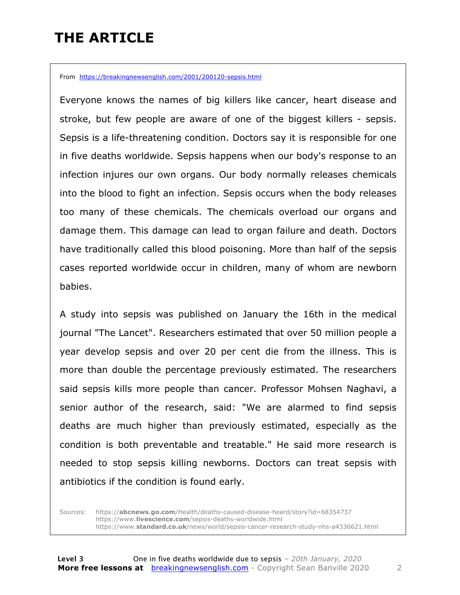### **THE ARTICLE**

From https://breakingnewsenglish.com/2001/200120-sepsis.html

Everyone knows the names of big killers like cancer, heart disease and stroke, but few people are aware of one of the biggest killers - sepsis. Sepsis is a life-threatening condition. Doctors say it is responsible for one in five deaths worldwide. Sepsis happens when our body's response to an infection injures our own organs. Our body normally releases chemicals into the blood to fight an infection. Sepsis occurs when the body releases too many of these chemicals. The chemicals overload our organs and damage them. This damage can lead to organ failure and death. Doctors have traditionally called this blood poisoning. More than half of the sepsis cases reported worldwide occur in children, many of whom are newborn babies.

A study into sepsis was published on January the 16th in the medical journal "The Lancet". Researchers estimated that over 50 million people a year develop sepsis and over 20 per cent die from the illness. This is more than double the percentage previously estimated. The researchers said sepsis kills more people than cancer. Professor Mohsen Naghavi, a senior author of the research, said: "We are alarmed to find sepsis deaths are much higher than previously estimated, especially as the condition is both preventable and treatable." He said more research is needed to stop sepsis killing newborns. Doctors can treat sepsis with antibiotics if the condition is found early.

Sources: https://**abcnews.go.com**/Health/deaths-caused-disease-heard/story?id=68354737 https://www.**livescience.com**/sepsis-deaths-worldwide.html https://www.**standard.co.uk**/news/world/sepsis-cancer-research-study-nhs-a4336621.html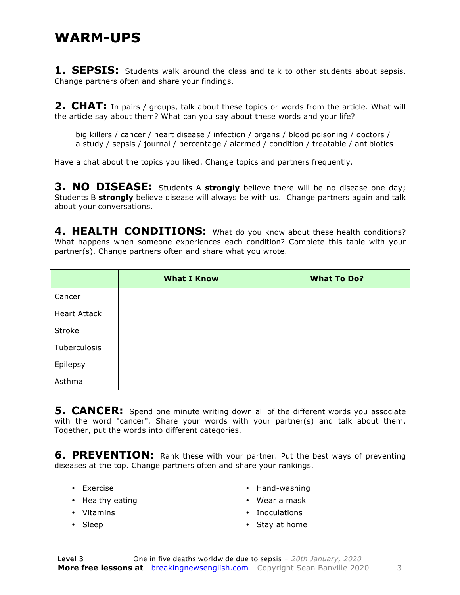#### **WARM-UPS**

**1. SEPSIS:** Students walk around the class and talk to other students about sepsis. Change partners often and share your findings.

**2. CHAT:** In pairs / groups, talk about these topics or words from the article. What will the article say about them? What can you say about these words and your life?

big killers / cancer / heart disease / infection / organs / blood poisoning / doctors / a study / sepsis / journal / percentage / alarmed / condition / treatable / antibiotics

Have a chat about the topics you liked. Change topics and partners frequently.

**3. NO DISEASE:** Students A **strongly** believe there will be no disease one day; Students B **strongly** believe disease will always be with us. Change partners again and talk about your conversations.

4. HEALTH CONDITIONS: What do you know about these health conditions? What happens when someone experiences each condition? Complete this table with your partner(s). Change partners often and share what you wrote.

|                     | <b>What I Know</b> | <b>What To Do?</b> |
|---------------------|--------------------|--------------------|
| Cancer              |                    |                    |
| <b>Heart Attack</b> |                    |                    |
| Stroke              |                    |                    |
| Tuberculosis        |                    |                    |
| Epilepsy            |                    |                    |
| Asthma              |                    |                    |

**5. CANCER:** Spend one minute writing down all of the different words you associate with the word "cancer". Share your words with your partner(s) and talk about them. Together, put the words into different categories.

**6. PREVENTION:** Rank these with your partner. Put the best ways of preventing diseases at the top. Change partners often and share your rankings.

- Exercise
- Healthy eating
- Vitamins
- Sleep
- Hand-washing
- Wear a mask • Inoculations
- Stay at home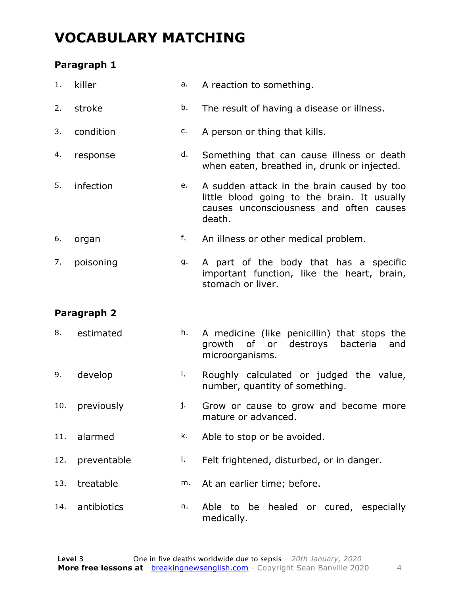### **VOCABULARY MATCHING**

#### **Paragraph 1**

| 1.  | killer      | а. | A reaction to something.                                                                                                                       |  |  |  |
|-----|-------------|----|------------------------------------------------------------------------------------------------------------------------------------------------|--|--|--|
| 2.  | stroke      | b. | The result of having a disease or illness.                                                                                                     |  |  |  |
| 3.  | condition   | c. | A person or thing that kills.                                                                                                                  |  |  |  |
| 4.  | response    | d. | Something that can cause illness or death<br>when eaten, breathed in, drunk or injected.                                                       |  |  |  |
| 5.  | infection   | е. | A sudden attack in the brain caused by too<br>little blood going to the brain. It usually<br>causes unconsciousness and often causes<br>death. |  |  |  |
| 6.  | organ       | f. | An illness or other medical problem.                                                                                                           |  |  |  |
| 7.  | poisoning   | g. | A part of the body that has a specific<br>important function, like the heart, brain,<br>stomach or liver.                                      |  |  |  |
|     | Paragraph 2 |    |                                                                                                                                                |  |  |  |
| 8.  | estimated   | h. | A medicine (like penicillin) that stops the<br>or destroys<br>growth of<br>bacteria<br>and<br>microorganisms.                                  |  |  |  |
| 9.  | develop     | i. | Roughly calculated or judged the value,<br>number, quantity of something.                                                                      |  |  |  |
| 10. | previously  | j. | Grow or cause to grow and become more<br>mature or advanced.                                                                                   |  |  |  |
| 11. | alarmed     | k. | Able to stop or be avoided.                                                                                                                    |  |  |  |
| 12. | preventable | Ι. | Felt frightened, disturbed, or in danger.                                                                                                      |  |  |  |
| 13. | treatable   | m. | At an earlier time; before.                                                                                                                    |  |  |  |
| 14. | antibiotics | n. | Able to be healed or cured, especially<br>medically.                                                                                           |  |  |  |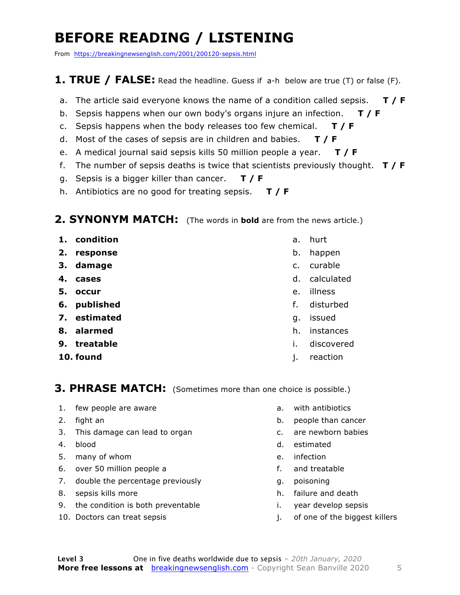### **BEFORE READING / LISTENING**

From https://breakingnewsenglish.com/2001/200120-sepsis.html

#### **1. TRUE / FALSE:** Read the headline. Guess if a-h below are true (T) or false (F).

- a. The article said everyone knows the name of a condition called sepsis. **T / F**
- b. Sepsis happens when our own body's organs injure an infection. **T / F**
- c. Sepsis happens when the body releases too few chemical. **T / F**
- d. Most of the cases of sepsis are in children and babies. **T / F**
- e. A medical journal said sepsis kills 50 million people a year. **T / F**
- f. The number of sepsis deaths is twice that scientists previously thought. **T / F**
- g. Sepsis is a bigger killer than cancer. **T / F**
- h. Antibiotics are no good for treating sepsis. **T / F**

#### **2. SYNONYM MATCH:** (The words in **bold** are from the news article.)

- **1. condition**
- **2. response**
- **3. damage**
- **4. cases**
- **5. occur**
- **6. published**
- **7. estimated**
- **8. alarmed**
- **9. treatable**
- **10. found**
- a. hurt
- b. happen
- c. curable
- d. calculated
- e. illness
- f. disturbed
- g. issued
- h. instances
- i. discovered
- j. reaction

#### **3. PHRASE MATCH:** (Sometimes more than one choice is possible.)

- 1. few people are aware
- 2. fight an
- 3. This damage can lead to organ
- 4. blood
- 5. many of whom
- 6. over 50 million people a
- 7. double the percentage previously
- 8. sepsis kills more
- 9. the condition is both preventable
- 10. Doctors can treat sepsis
- a. with antibiotics
- b. people than cancer
- c. are newborn babies
- d. estimated
- e. infection
- f. and treatable
- g. poisoning
- h. failure and death
- i. year develop sepsis
- j. of one of the biggest killers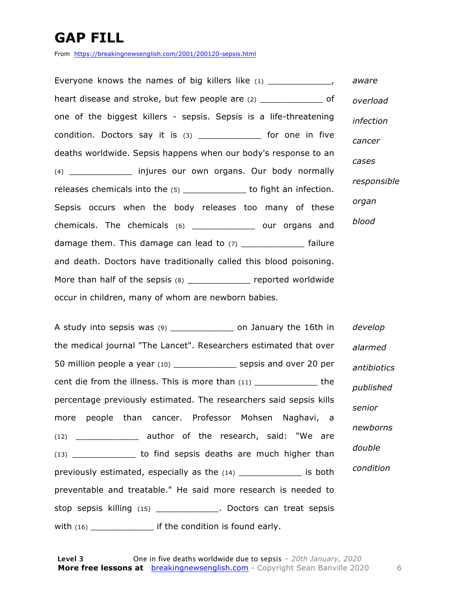### **GAP FILL**

From https://breakingnewsenglish.com/2001/200120-sepsis.html

Everyone knows the names of big killers like  $(1)$   $(2)$ heart disease and stroke, but few people are (2) \_\_\_\_\_\_\_\_\_\_\_\_\_\_\_\_\_ of one of the biggest killers - sepsis. Sepsis is a life-threatening condition. Doctors say it is (3) \_\_\_\_\_\_\_\_\_\_\_\_ for one in five deaths worldwide. Sepsis happens when our body's response to an (4) \_\_\_\_\_\_\_\_\_\_\_\_ injures our own organs. Our body normally releases chemicals into the (5) \_\_\_\_\_\_\_\_\_\_\_\_\_ to fight an infection. Sepsis occurs when the body releases too many of these chemicals. The chemicals (6) \_\_\_\_\_\_\_\_\_\_\_\_ our organs and damage them. This damage can lead to (7) [100] [12] failure and death. Doctors have traditionally called this blood poisoning. More than half of the sepsis (8) \_\_\_\_\_\_\_\_\_\_\_\_\_ reported worldwide occur in children, many of whom are newborn babies. *aware overload infection cancer cases responsible organ blood*

A study into sepsis was (9) \_\_\_\_\_\_\_\_\_\_\_\_ on January the 16th in the medical journal "The Lancet". Researchers estimated that over 50 million people a year (10) \_\_\_\_\_\_\_\_\_\_\_\_ sepsis and over 20 per cent die from the illness. This is more than (11) Letterman the state of the central state of the percentage previously estimated. The researchers said sepsis kills more people than cancer. Professor Mohsen Naghavi, a (12) \_\_\_\_\_\_\_\_\_\_\_\_ author of the research, said: "We are (13) \_\_\_\_\_\_\_\_\_\_\_\_ to find sepsis deaths are much higher than previously estimated, especially as the (14) The same is both preventable and treatable." He said more research is needed to stop sepsis killing (15) \_\_\_\_\_\_\_\_\_\_\_\_. Doctors can treat sepsis with  $(16)$  \_\_\_\_\_\_\_\_\_\_\_\_\_\_\_\_ if the condition is found early. *develop alarmed antibiotics published senior newborns double condition*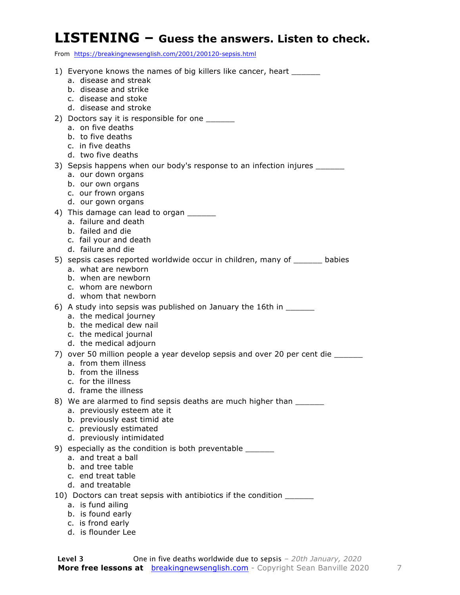#### **LISTENING – Guess the answers. Listen to check.**

From https://breakingnewsenglish.com/2001/200120-sepsis.html

- 1) Everyone knows the names of big killers like cancer, heart a. disease and streak b. disease and strike c. disease and stoke d. disease and stroke 2) Doctors say it is responsible for one a. on five deaths b. to five deaths c. in five deaths d. two five deaths 3) Sepsis happens when our body's response to an infection injures \_\_\_\_\_\_\_ a. our down organs b. our own organs c. our frown organs d. our gown organs 4) This damage can lead to organ \_\_\_\_\_\_\_ a. failure and death b. failed and die c. fail your and death d. failure and die 5) sepsis cases reported worldwide occur in children, many of \_\_\_\_\_\_ babies a. what are newborn b. when are newborn c. whom are newborn d. whom that newborn 6) A study into sepsis was published on January the 16th in a. the medical journey b. the medical dew nail c. the medical journal d. the medical adjourn 7) over 50 million people a year develop sepsis and over 20 per cent die a. from them illness b. from the illness c. for the illness d. frame the illness 8) We are alarmed to find sepsis deaths are much higher than a. previously esteem ate it b. previously east timid ate c. previously estimated d. previously intimidated 9) especially as the condition is both preventable \_\_\_\_\_\_\_ a. and treat a ball b. and tree table c. end treat table d. and treatable 10) Doctors can treat sepsis with antibiotics if the condition \_\_\_\_\_\_ a. is fund ailing b. is found early
	- c. is frond early
	- d. is flounder Lee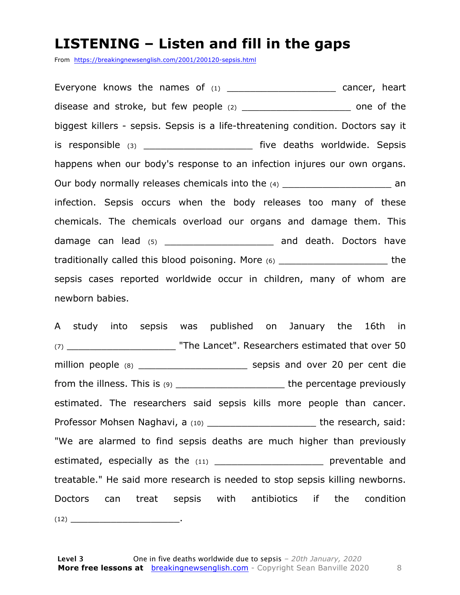#### **LISTENING – Listen and fill in the gaps**

From https://breakingnewsenglish.com/2001/200120-sepsis.html

Everyone knows the names of  $(1)$  \_\_\_\_\_\_\_\_\_\_\_\_\_\_\_\_\_\_\_\_\_\_\_\_\_\_ cancer, heart disease and stroke, but few people (2) \_\_\_\_\_\_\_\_\_\_\_\_\_\_\_\_\_\_\_\_\_\_\_\_\_ one of the biggest killers - sepsis. Sepsis is a life-threatening condition. Doctors say it is responsible (3) \_\_\_\_\_\_\_\_\_\_\_\_\_\_\_\_\_\_\_\_\_\_\_\_ five deaths worldwide. Sepsis happens when our body's response to an infection injures our own organs. Our body normally releases chemicals into the (4) and the control of the state of the state of the control of the  $(4)$ infection. Sepsis occurs when the body releases too many of these chemicals. The chemicals overload our organs and damage them. This damage can lead (5) damage can lead (5) and death. Doctors have traditionally called this blood poisoning. More (6) \_\_\_\_\_\_\_\_\_\_\_\_\_\_\_\_\_\_\_ the sepsis cases reported worldwide occur in children, many of whom are newborn babies.

A study into sepsis was published on January the 16th in (7) \_\_\_\_\_\_\_\_\_\_\_\_\_\_\_\_\_\_\_ "The Lancet". Researchers estimated that over 50 million people (8) \_\_\_\_\_\_\_\_\_\_\_\_\_\_\_\_\_\_\_ sepsis and over 20 per cent die from the illness. This is  $(9)$  \_\_\_\_\_\_\_\_\_\_\_\_\_\_\_\_\_\_\_\_\_\_\_\_\_\_\_\_the percentage previously estimated. The researchers said sepsis kills more people than cancer. Professor Mohsen Naghavi, a (10) \_\_\_\_\_\_\_\_\_\_\_\_\_\_\_\_\_\_\_\_\_\_\_\_\_\_the research, said: "We are alarmed to find sepsis deaths are much higher than previously estimated, especially as the (11) \_\_\_\_\_\_\_\_\_\_\_\_\_\_\_\_\_\_\_\_\_\_\_ preventable and treatable." He said more research is needed to stop sepsis killing newborns. Doctors can treat sepsis with antibiotics if the condition  $(12)$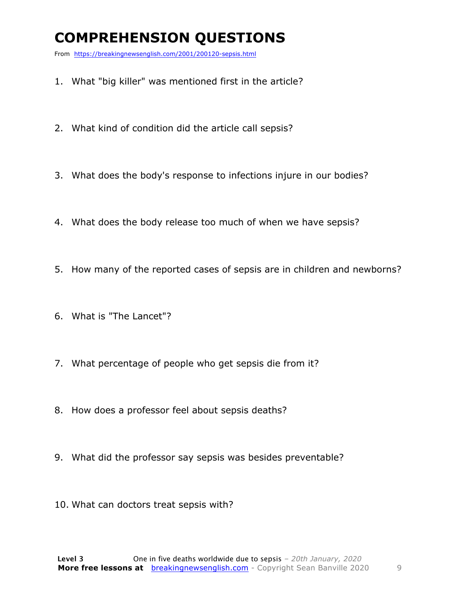### **COMPREHENSION QUESTIONS**

From https://breakingnewsenglish.com/2001/200120-sepsis.html

- 1. What "big killer" was mentioned first in the article?
- 2. What kind of condition did the article call sepsis?
- 3. What does the body's response to infections injure in our bodies?
- 4. What does the body release too much of when we have sepsis?
- 5. How many of the reported cases of sepsis are in children and newborns?
- 6. What is "The Lancet"?
- 7. What percentage of people who get sepsis die from it?
- 8. How does a professor feel about sepsis deaths?
- 9. What did the professor say sepsis was besides preventable?
- 10. What can doctors treat sepsis with?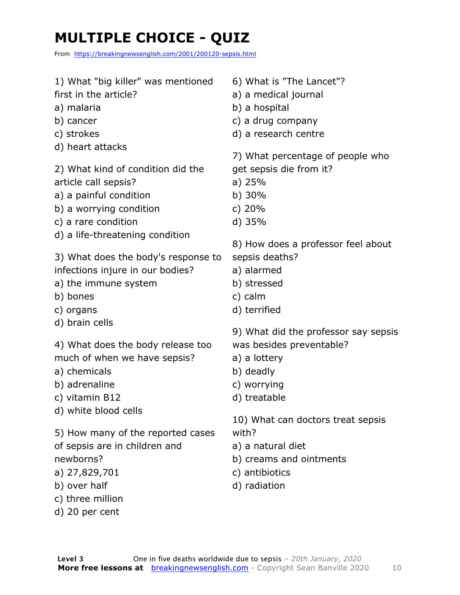### **MULTIPLE CHOICE - QUIZ**

From https://breakingnewsenglish.com/2001/200120-sepsis.html

| 1) What "big killer" was mentioned<br>first in the article?<br>a) malaria<br>b) cancer<br>c) strokes<br>d) heart attacks                                                                                                                                                           | 6) What is "The Lancet"?<br>a) a medical journal<br>b) a hospital<br>c) a drug company<br>d) a research centre<br>7) What percentage of people who                                                                                                           |
|------------------------------------------------------------------------------------------------------------------------------------------------------------------------------------------------------------------------------------------------------------------------------------|--------------------------------------------------------------------------------------------------------------------------------------------------------------------------------------------------------------------------------------------------------------|
| 2) What kind of condition did the<br>article call sepsis?<br>a) a painful condition<br>b) a worrying condition<br>c) a rare condition<br>d) a life-threatening condition                                                                                                           | get sepsis die from it?<br>a) $25%$<br>b) $30%$<br>c) $20%$<br>$d)$ 35%                                                                                                                                                                                      |
| 3) What does the body's response to<br>infections injure in our bodies?<br>a) the immune system<br>b) bones<br>c) organs                                                                                                                                                           | 8) How does a professor feel about<br>sepsis deaths?<br>a) alarmed<br>b) stressed<br>c) calm<br>d) terrified                                                                                                                                                 |
| d) brain cells<br>4) What does the body release too<br>much of when we have sepsis?<br>a) chemicals<br>b) adrenaline<br>c) vitamin B12<br>d) white blood cells<br>5) How many of the reported cases<br>of sepsis are in children and<br>newborns?<br>a) 27,829,701<br>b) over half | 9) What did the professor say sepsis<br>was besides preventable?<br>a) a lottery<br>b) deadly<br>c) worrying<br>d) treatable<br>10) What can doctors treat sepsis<br>with?<br>a) a natural diet<br>b) creams and ointments<br>c) antibiotics<br>d) radiation |
| c) three million<br>d) 20 per cent                                                                                                                                                                                                                                                 |                                                                                                                                                                                                                                                              |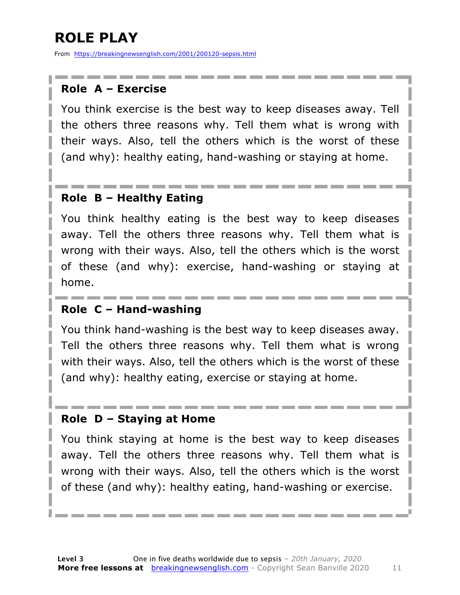### **ROLE PLAY**

From https://breakingnewsenglish.com/2001/200120-sepsis.html

#### **Role A – Exercise**

You think exercise is the best way to keep diseases away. Tell the others three reasons why. Tell them what is wrong with their ways. Also, tell the others which is the worst of these (and why): healthy eating, hand-washing or staying at home.

#### **Role B – Healthy Eating**

You think healthy eating is the best way to keep diseases away. Tell the others three reasons why. Tell them what is wrong with their ways. Also, tell the others which is the worst of these (and why): exercise, hand-washing or staying at home.

#### **Role C – Hand-washing**

You think hand-washing is the best way to keep diseases away. Tell the others three reasons why. Tell them what is wrong with their ways. Also, tell the others which is the worst of these (and why): healthy eating, exercise or staying at home.

#### **Role D – Staying at Home**

You think staying at home is the best way to keep diseases away. Tell the others three reasons why. Tell them what is wrong with their ways. Also, tell the others which is the worst of these (and why): healthy eating, hand-washing or exercise.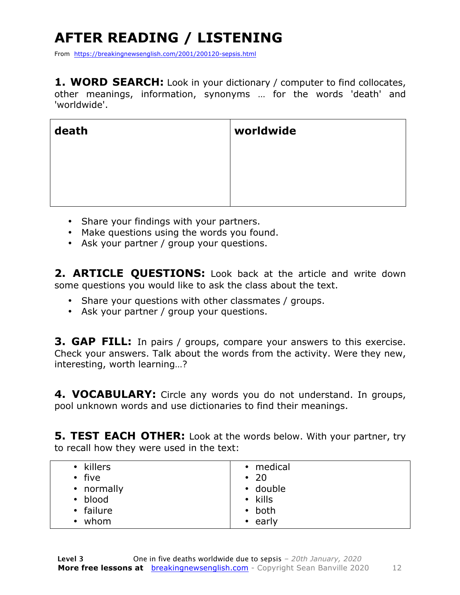## **AFTER READING / LISTENING**

From https://breakingnewsenglish.com/2001/200120-sepsis.html

**1. WORD SEARCH:** Look in your dictionary / computer to find collocates, other meanings, information, synonyms … for the words 'death' and 'worldwide'.

| death | worldwide |
|-------|-----------|
|       |           |
|       |           |
|       |           |

- Share your findings with your partners.
- Make questions using the words you found.
- Ask your partner / group your questions.

**2. ARTICLE QUESTIONS:** Look back at the article and write down some questions you would like to ask the class about the text.

- Share your questions with other classmates / groups.
- Ask your partner / group your questions.

**3. GAP FILL:** In pairs / groups, compare your answers to this exercise. Check your answers. Talk about the words from the activity. Were they new, interesting, worth learning…?

**4. VOCABULARY:** Circle any words you do not understand. In groups, pool unknown words and use dictionaries to find their meanings.

**5. TEST EACH OTHER:** Look at the words below. With your partner, try to recall how they were used in the text:

| • killers         | • medical      |
|-------------------|----------------|
| $\cdot$ five      | $\cdot$ 20     |
| • normally        | • double       |
| • blood           | $\cdot$ kills  |
| • failure         | $\bullet$ both |
| whom<br>$\bullet$ | $\cdot$ early  |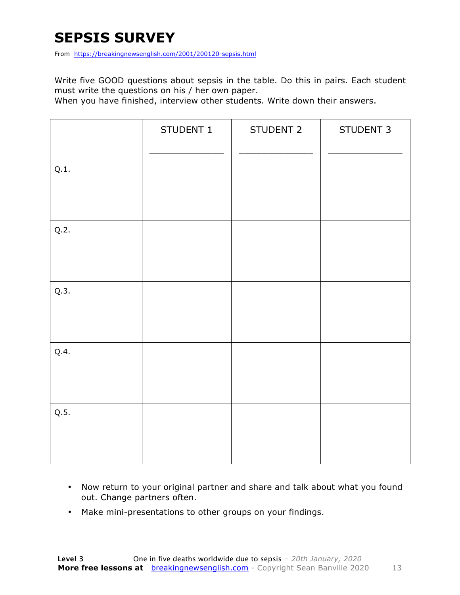#### **SEPSIS SURVEY**

From https://breakingnewsenglish.com/2001/200120-sepsis.html

Write five GOOD questions about sepsis in the table. Do this in pairs. Each student must write the questions on his / her own paper.

When you have finished, interview other students. Write down their answers.

|      | STUDENT 1 | STUDENT 2 | STUDENT 3 |
|------|-----------|-----------|-----------|
| Q.1. |           |           |           |
| Q.2. |           |           |           |
| Q.3. |           |           |           |
| Q.4. |           |           |           |
| Q.5. |           |           |           |

- Now return to your original partner and share and talk about what you found out. Change partners often.
- Make mini-presentations to other groups on your findings.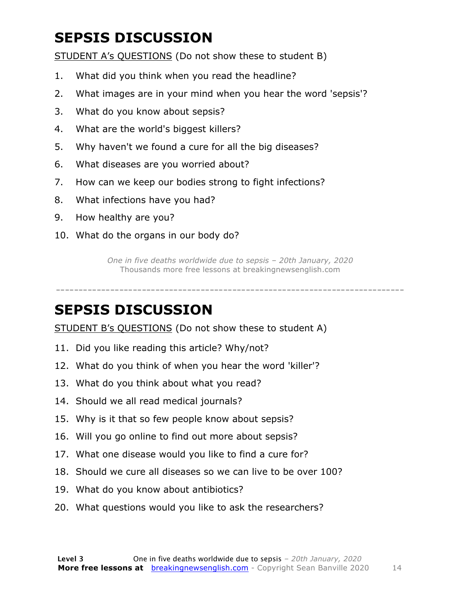### **SEPSIS DISCUSSION**

STUDENT A's QUESTIONS (Do not show these to student B)

- 1. What did you think when you read the headline?
- 2. What images are in your mind when you hear the word 'sepsis'?
- 3. What do you know about sepsis?
- 4. What are the world's biggest killers?
- 5. Why haven't we found a cure for all the big diseases?
- 6. What diseases are you worried about?
- 7. How can we keep our bodies strong to fight infections?
- 8. What infections have you had?
- 9. How healthy are you?
- 10. What do the organs in our body do?

*One in five deaths worldwide due to sepsis – 20th January, 2020* Thousands more free lessons at breakingnewsenglish.com

-----------------------------------------------------------------------------

#### **SEPSIS DISCUSSION**

STUDENT B's QUESTIONS (Do not show these to student A)

- 11. Did you like reading this article? Why/not?
- 12. What do you think of when you hear the word 'killer'?
- 13. What do you think about what you read?
- 14. Should we all read medical journals?
- 15. Why is it that so few people know about sepsis?
- 16. Will you go online to find out more about sepsis?
- 17. What one disease would you like to find a cure for?
- 18. Should we cure all diseases so we can live to be over 100?
- 19. What do you know about antibiotics?
- 20. What questions would you like to ask the researchers?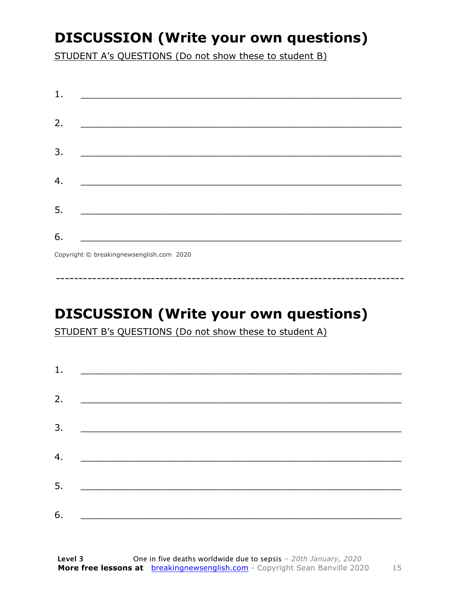### **DISCUSSION (Write your own questions)**

STUDENT A's QUESTIONS (Do not show these to student B)

| 1. |                                          |
|----|------------------------------------------|
|    |                                          |
| 2. |                                          |
|    |                                          |
| 3. |                                          |
|    |                                          |
| 4. |                                          |
|    |                                          |
| 5. |                                          |
|    |                                          |
| 6. |                                          |
|    | Copyright © breakingnewsenglish.com 2020 |

### **DISCUSSION (Write your own questions)**

STUDENT B's QUESTIONS (Do not show these to student A)

| 1. |                                                                                                                         |  |  |
|----|-------------------------------------------------------------------------------------------------------------------------|--|--|
|    |                                                                                                                         |  |  |
| 2. | <u> 1980 - Andrea Stationer, fransk politiker (d. 1980)</u>                                                             |  |  |
| 3. |                                                                                                                         |  |  |
|    |                                                                                                                         |  |  |
| 4. | <u> 1980 - Jan Samuel Barbara, margaret eta idazlea (h. 1980).</u>                                                      |  |  |
| 5. | <u> 1986 - Johann Stoff, deutscher Stoffen und der Stoffen und der Stoffen und der Stoffen und der Stoffen und der </u> |  |  |
|    |                                                                                                                         |  |  |
| 6. | <u> 1989 - Johann John Stone, market fan it ferskearre fan it ferskearre fan it ferskearre fan it ferskearre fan i</u>  |  |  |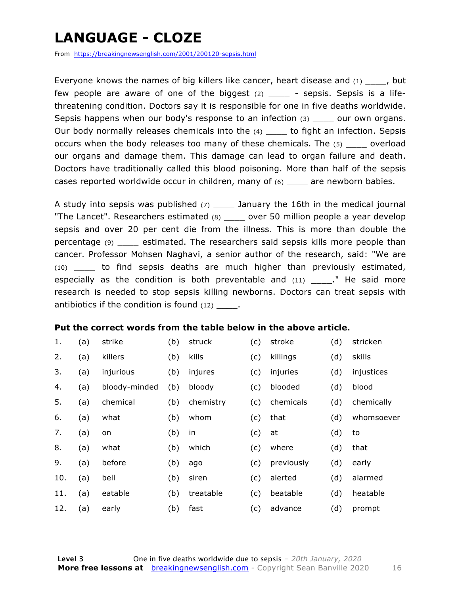### **LANGUAGE - CLOZE**

From https://breakingnewsenglish.com/2001/200120-sepsis.html

Everyone knows the names of big killers like cancer, heart disease and  $(1)$ , but few people are aware of one of the biggest  $(2)$  \_\_\_\_ - sepsis. Sepsis is a lifethreatening condition. Doctors say it is responsible for one in five deaths worldwide. Sepsis happens when our body's response to an infection (3) \_\_\_\_\_ our own organs. Our body normally releases chemicals into the (4) \_\_\_\_\_ to fight an infection. Sepsis occurs when the body releases too many of these chemicals. The (5) \_\_\_\_ overload our organs and damage them. This damage can lead to organ failure and death. Doctors have traditionally called this blood poisoning. More than half of the sepsis cases reported worldwide occur in children, many of (6) \_\_\_\_ are newborn babies.

A study into sepsis was published  $(7)$  \_\_\_\_ January the 16th in the medical journal "The Lancet". Researchers estimated (8) \_\_\_\_ over 50 million people a year develop sepsis and over 20 per cent die from the illness. This is more than double the percentage (9) \_\_\_\_ estimated. The researchers said sepsis kills more people than cancer. Professor Mohsen Naghavi, a senior author of the research, said: "We are (10) \_\_\_\_ to find sepsis deaths are much higher than previously estimated, especially as the condition is both preventable and  $(11)$  \_\_\_\_\_." He said more research is needed to stop sepsis killing newborns. Doctors can treat sepsis with antibiotics if the condition is found (12) .

#### **Put the correct words from the table below in the above article.**

| 1.  | (a) | strike        | (b) | struck    | (c) | stroke     | (d) | stricken   |
|-----|-----|---------------|-----|-----------|-----|------------|-----|------------|
| 2.  | (a) | killers       | (b) | kills     | (c) | killings   | (d) | skills     |
| 3.  | (a) | injurious     | (b) | injures   | (c) | injuries   | (d) | injustices |
| 4.  | (a) | bloody-minded | (b) | bloody    | (c) | blooded    | (d) | blood      |
| 5.  | (a) | chemical      | (b) | chemistry | (c) | chemicals  | (d) | chemically |
| 6.  | (a) | what          | (b) | whom      | (c) | that       | (d) | whomsoever |
| 7.  | (a) | on            | (b) | in        | (c) | at         | (d) | to         |
| 8.  | (a) | what          | (b) | which     | (c) | where      | (d) | that       |
| 9.  | (a) | before        | (b) | ago       | (c) | previously | (d) | early      |
| 10. | (a) | bell          | (b) | siren     | (c) | alerted    | (d) | alarmed    |
| 11. | (a) | eatable       | (b) | treatable | (c) | beatable   | (d) | heatable   |
| 12. | (a) | early         | (b) | fast      | (c) | advance    | (d) | prompt     |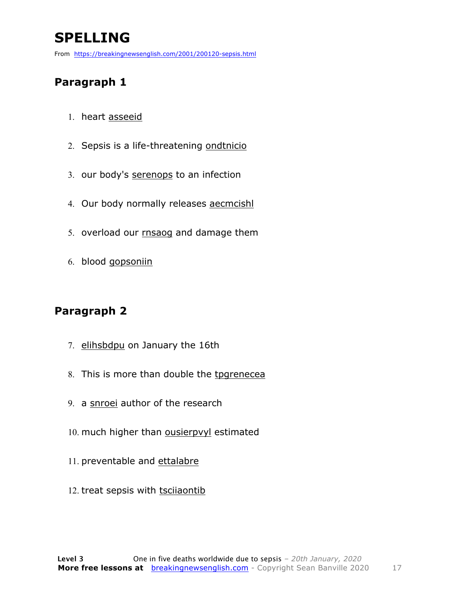### **SPELLING**

From https://breakingnewsenglish.com/2001/200120-sepsis.html

#### **Paragraph 1**

- 1. heart asseeid
- 2. Sepsis is a life-threatening ondtnicio
- 3. our body's serenops to an infection
- 4. Our body normally releases aecmcishl
- 5. overload our rnsaog and damage them
- 6. blood gopsoniin

#### **Paragraph 2**

- 7. elihsbdpu on January the 16th
- 8. This is more than double the tpgrenecea
- 9. a snroei author of the research
- 10. much higher than ousierpvyl estimated
- 11. preventable and ettalabre
- 12. treat sepsis with tscilaontib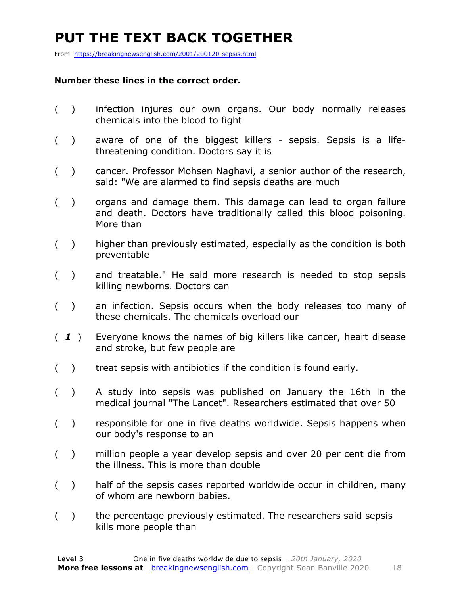### **PUT THE TEXT BACK TOGETHER**

From https://breakingnewsenglish.com/2001/200120-sepsis.html

#### **Number these lines in the correct order.**

- ( ) infection injures our own organs. Our body normally releases chemicals into the blood to fight
- ( ) aware of one of the biggest killers sepsis. Sepsis is a lifethreatening condition. Doctors say it is
- ( ) cancer. Professor Mohsen Naghavi, a senior author of the research, said: "We are alarmed to find sepsis deaths are much
- ( ) organs and damage them. This damage can lead to organ failure and death. Doctors have traditionally called this blood poisoning. More than
- ( ) higher than previously estimated, especially as the condition is both preventable
- ( ) and treatable." He said more research is needed to stop sepsis killing newborns. Doctors can
- ( ) an infection. Sepsis occurs when the body releases too many of these chemicals. The chemicals overload our
- ( *1* ) Everyone knows the names of big killers like cancer, heart disease and stroke, but few people are
- () treat sepsis with antibiotics if the condition is found early.
- ( ) A study into sepsis was published on January the 16th in the medical journal "The Lancet". Researchers estimated that over 50
- ( ) responsible for one in five deaths worldwide. Sepsis happens when our body's response to an
- ( ) million people a year develop sepsis and over 20 per cent die from the illness. This is more than double
- ( ) half of the sepsis cases reported worldwide occur in children, many of whom are newborn babies.
- ( ) the percentage previously estimated. The researchers said sepsis kills more people than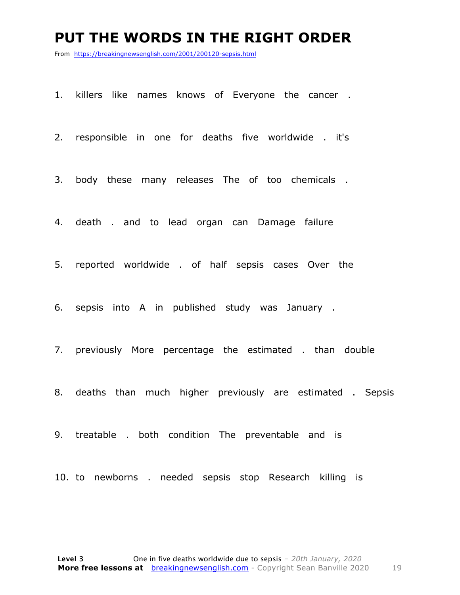#### **PUT THE WORDS IN THE RIGHT ORDER**

From https://breakingnewsenglish.com/2001/200120-sepsis.html

1. killers like names knows of Everyone the cancer .

2. responsible in one for deaths five worldwide . it's

3. body these many releases The of too chemicals .

4. death . and to lead organ can Damage failure

5. reported worldwide . of half sepsis cases Over the

6. sepsis into A in published study was January .

7. previously More percentage the estimated . than double

8. deaths than much higher previously are estimated . Sepsis

9. treatable . both condition The preventable and is

10. to newborns . needed sepsis stop Research killing is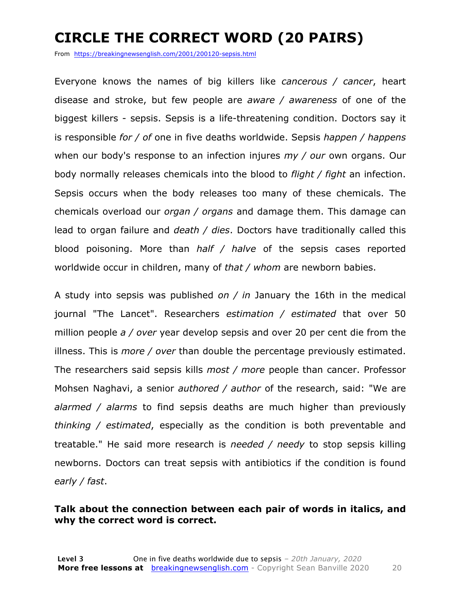### **CIRCLE THE CORRECT WORD (20 PAIRS)**

From https://breakingnewsenglish.com/2001/200120-sepsis.html

Everyone knows the names of big killers like *cancerous / cancer*, heart disease and stroke, but few people are *aware / awareness* of one of the biggest killers - sepsis. Sepsis is a life-threatening condition. Doctors say it is responsible *for / of* one in five deaths worldwide. Sepsis *happen / happens* when our body's response to an infection injures *my / our* own organs. Our body normally releases chemicals into the blood to *flight / fight* an infection. Sepsis occurs when the body releases too many of these chemicals. The chemicals overload our *organ / organs* and damage them. This damage can lead to organ failure and *death / dies*. Doctors have traditionally called this blood poisoning. More than *half / halve* of the sepsis cases reported worldwide occur in children, many of *that / whom* are newborn babies.

A study into sepsis was published *on / in* January the 16th in the medical journal "The Lancet". Researchers *estimation / estimated* that over 50 million people *a / over* year develop sepsis and over 20 per cent die from the illness. This is *more / over* than double the percentage previously estimated. The researchers said sepsis kills *most / more* people than cancer. Professor Mohsen Naghavi, a senior *authored / author* of the research, said: "We are *alarmed / alarms* to find sepsis deaths are much higher than previously *thinking / estimated*, especially as the condition is both preventable and treatable." He said more research is *needed / needy* to stop sepsis killing newborns. Doctors can treat sepsis with antibiotics if the condition is found *early / fast*.

#### **Talk about the connection between each pair of words in italics, and why the correct word is correct.**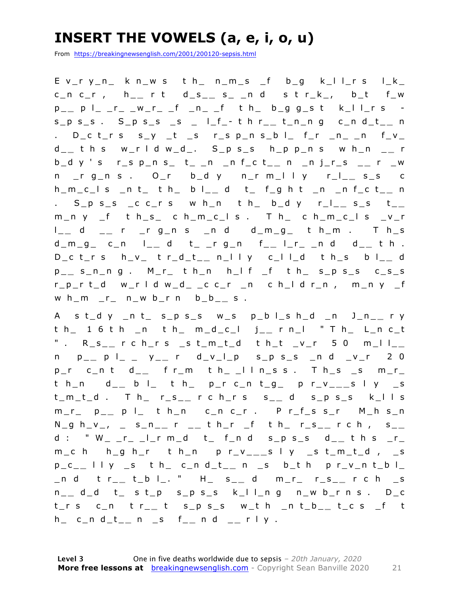### **INSERT THE VOWELS (a, e, i, o, u)**

From https://breakingnewsenglish.com/2001/200120-sepsis.html

E v\_r y\_n\_ k n\_w s t h\_ n\_m\_s \_f b\_g k\_l l\_r s l\_k\_ c\_n c\_r , h\_ **\_** r t d\_s\_ **\_** s\_ \_n d s t r\_k\_, b\_t f\_w p \_ **\_** p l\_ \_r\_ \_w\_r\_ \_f \_n\_ \_f t h\_ b\_g g\_s t k\_l l\_r s s\_p s\_s . S\_p s\_s \_s \_ l\_f\_ - t h r\_ **\_** t\_n\_n g c\_n d\_t\_ **\_** n . D\_c t\_r s  $s_y$  \_t \_s r\_s p\_n s\_b l\_ f\_r \_n\_ \_n f\_v\_ d \_ **\_** t h s w\_r l d w\_d\_. S\_p s\_s h\_p p\_n s w h\_n \_ **\_** r b\_d y ' s r\_s p\_n s\_ t\_ \_n \_n f\_c t\_ **\_** n \_n j\_r\_s \_ **\_** r \_w n \_r g\_n s . O\_r b\_d y n\_r m\_l l y r\_l\_ **\_** s\_s c h\_m\_c\_l s \_n t\_ t h\_ b l\_ **\_** d t\_ f\_g h t \_n \_n f\_c t\_ **\_** n . S\_p s\_s \_c c\_r s w h\_n t h\_ b\_d y r\_l\_ **\_** s\_s t\_ **\_**  m\_n y \_f t h\_s\_ c h\_m\_c\_l s . T h\_ c h\_m\_c\_l s \_v\_r l \_ **\_** d \_ **\_** r \_r g\_n s \_n d d\_m\_g\_ t h\_m . T h\_s d\_m\_g\_ c\_n l\_ **\_** d t\_ \_r g\_n f\_ **\_** l\_r\_ \_n d d\_ **\_** t h . D\_c t\_r s h\_v\_ t r\_d\_t\_ **\_** n\_l l y c\_l l\_d t h\_s b l\_ **\_** d p \_ **\_** s\_n\_n g . M\_r\_ t h\_n h\_l f \_f t h\_ s\_p s\_s c\_s\_s r\_p\_r t\_d w\_r l d w\_d\_ \_c c\_r \_n c h\_l d r\_n , m\_n y \_f w h\_m \_r\_ n\_w b\_r n b\_b\_ **\_** s .

A s t\_d y \_n t\_ s\_p s\_s w\_s p\_b l\_s h\_d \_n J\_n\_ **\_** r y t h\_ 1 6 t h \_n t h\_ m\_d\_c\_l j\_ **\_** r n\_l " T h\_ L\_n c\_t " . R\_s\_ **\_** r c h\_r s \_s t\_m\_t\_d t h\_t \_v\_r 5 0 m\_l l\_ **\_**  n p\_ **\_** p l\_ \_ y \_ **\_** r d\_v\_l\_p s\_p s\_s \_n d \_v\_r 2 0 p\_r c\_n t d\_ **\_** f r\_m t h\_ \_l l n\_s s . T h\_s \_s m\_r\_ t h\_n d\_ **\_** b l\_ t h\_ p\_r c\_n t\_g\_ p r\_v\_ **\_ \_** s l y \_s t\_m\_t\_d . T h\_ r\_s\_ **\_** r c h\_r s s\_ **\_** d s\_p s\_s k\_l l s m\_r\_ p\_ **\_** p l\_ t h\_n c\_n c\_r . P r\_f\_s s\_r M\_h s\_n N\_g h\_v\_, \_ s\_n\_ **\_** r \_ **\_** t h\_r \_f t h\_ r\_s\_ **\_** r c h , s\_ **\_**  d : " W\_ \_r\_ \_l\_r m\_d t\_ f\_n d s\_p s\_s d\_ **\_** t h s \_r\_ m\_c h h\_g h\_r t h\_n p r\_v\_ **\_ \_** s l y \_s t\_m\_t\_d , \_s p\_c\_ **\_** l l y \_s t h\_ c\_n d\_t\_ **\_** n \_s b\_t h p r\_v\_n t\_b l\_ \_n d t r\_ **\_** t\_b l\_. " H\_ s\_ **\_** d m\_r\_ r\_s\_ **\_** r c h \_s n \_ **\_** d\_d t\_ s t\_p s\_p s\_s k\_l l\_n g n\_w b\_r n s . D\_c t\_r s c\_n t r\_ **\_** t s\_p s\_s w\_t h \_n t\_b\_ **\_** t\_c s \_f t  $h_$   $c_n d_t_$   $n_s$   $f_$   $n d_n$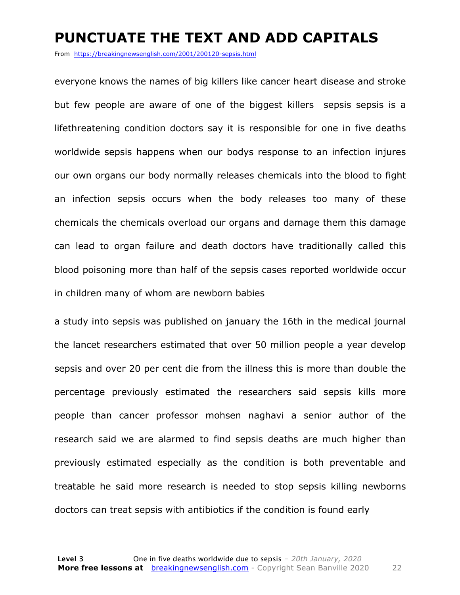#### **PUNCTUATE THE TEXT AND ADD CAPITALS**

From https://breakingnewsenglish.com/2001/200120-sepsis.html

everyone knows the names of big killers like cancer heart disease and stroke but few people are aware of one of the biggest killers sepsis sepsis is a lifethreatening condition doctors say it is responsible for one in five deaths worldwide sepsis happens when our bodys response to an infection injures our own organs our body normally releases chemicals into the blood to fight an infection sepsis occurs when the body releases too many of these chemicals the chemicals overload our organs and damage them this damage can lead to organ failure and death doctors have traditionally called this blood poisoning more than half of the sepsis cases reported worldwide occur in children many of whom are newborn babies

a study into sepsis was published on january the 16th in the medical journal the lancet researchers estimated that over 50 million people a year develop sepsis and over 20 per cent die from the illness this is more than double the percentage previously estimated the researchers said sepsis kills more people than cancer professor mohsen naghavi a senior author of the research said we are alarmed to find sepsis deaths are much higher than previously estimated especially as the condition is both preventable and treatable he said more research is needed to stop sepsis killing newborns doctors can treat sepsis with antibiotics if the condition is found early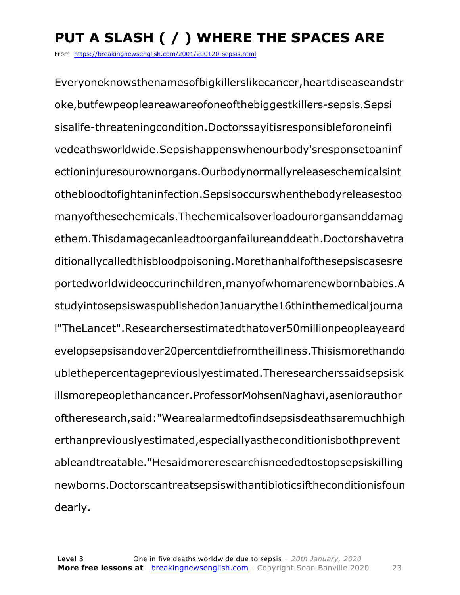### **PUT A SLASH ( / ) WHERE THE SPACES ARE**

From https://breakingnewsenglish.com/2001/200120-sepsis.html

Everyoneknowsthenamesofbigkillerslikecancer,heartdiseaseandstr oke,butfewpeopleareawareofoneofthebiggestkillers-sepsis.Sepsi sisalife-threateningcondition.Doctorssayitisresponsibleforoneinfi vedeathsworldwide.Sepsishappenswhenourbody'sresponsetoaninf ectioninjuresourownorgans.Ourbodynormallyreleaseschemicalsint othebloodtofightaninfection.Sepsisoccurswhenthebodyreleasestoo manyofthesechemicals.Thechemicalsoverloadourorgansanddamag ethem.Thisdamagecanleadtoorganfailureanddeath.Doctorshavetra ditionallycalledthisbloodpoisoning.Morethanhalfofthesepsiscasesre portedworldwideoccurinchildren,manyofwhomarenewbornbabies.A studyintosepsiswaspublishedonJanuarythe16thinthemedicaljourna l"TheLancet".Researchersestimatedthatover50millionpeopleayeard evelopsepsisandover20percentdiefromtheillness.Thisismorethando ublethepercentagepreviouslyestimated.Theresearcherssaidsepsisk illsmorepeoplethancancer.ProfessorMohsenNaghavi,aseniorauthor oftheresearch,said:"Wearealarmedtofindsepsisdeathsaremuchhigh erthanpreviouslyestimated,especiallyastheconditionisbothprevent ableandtreatable."Hesaidmoreresearchisneededtostopsepsiskilling newborns.Doctorscantreatsepsiswithantibioticsiftheconditionisfoun dearly.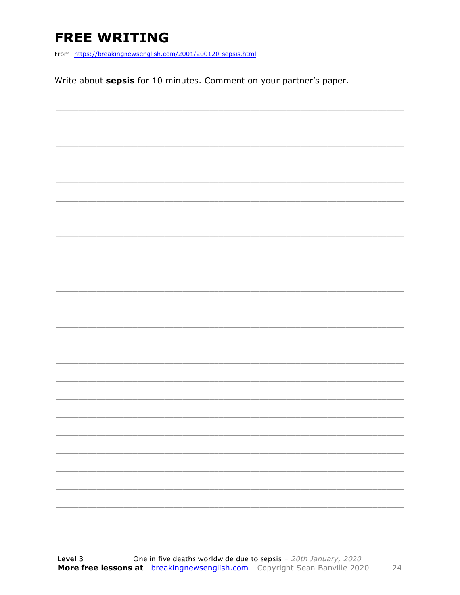### **FREE WRITING**

From https://breakingnewsenglish.com/2001/200120-sepsis.html

Write about sepsis for 10 minutes. Comment on your partner's paper.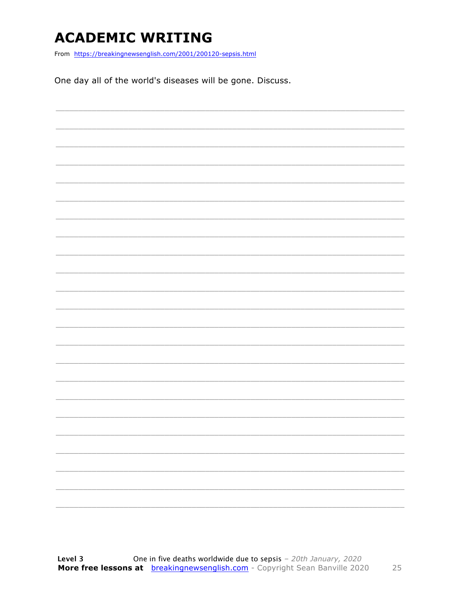### **ACADEMIC WRITING**

From https://breakingnewsenglish.com/2001/200120-sepsis.html

One day all of the world's diseases will be gone. Discuss.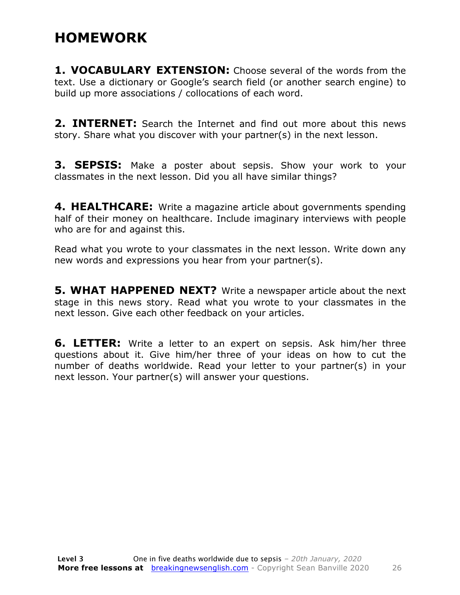#### **HOMEWORK**

**1. VOCABULARY EXTENSION:** Choose several of the words from the text. Use a dictionary or Google's search field (or another search engine) to build up more associations / collocations of each word.

**2. INTERNET:** Search the Internet and find out more about this news story. Share what you discover with your partner(s) in the next lesson.

**3. SEPSIS:** Make a poster about sepsis. Show your work to your classmates in the next lesson. Did you all have similar things?

**4. HEALTHCARE:** Write a magazine article about governments spending half of their money on healthcare. Include imaginary interviews with people who are for and against this.

Read what you wrote to your classmates in the next lesson. Write down any new words and expressions you hear from your partner(s).

**5. WHAT HAPPENED NEXT?** Write a newspaper article about the next stage in this news story. Read what you wrote to your classmates in the next lesson. Give each other feedback on your articles.

**6. LETTER:** Write a letter to an expert on sepsis. Ask him/her three questions about it. Give him/her three of your ideas on how to cut the number of deaths worldwide. Read your letter to your partner(s) in your next lesson. Your partner(s) will answer your questions.